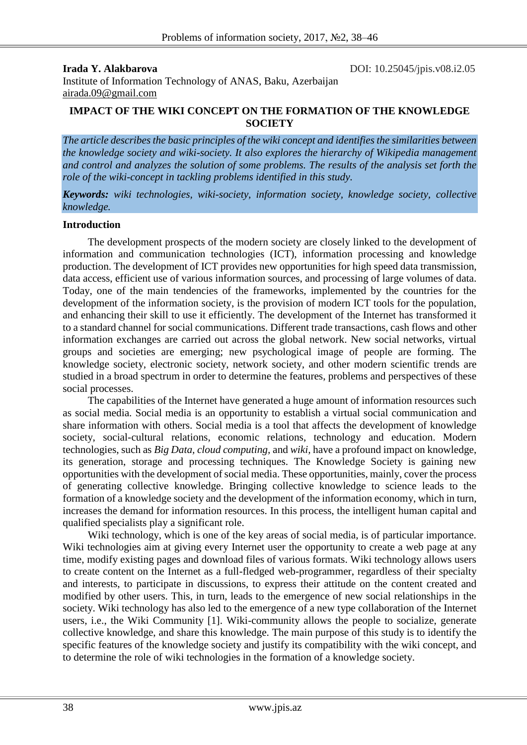**Irada Y. Alakbarova DOI:** 10.25045/jpis.v08.i2.05

Institute of Information Technology of ANAS, Baku, Azerbaijan [airada.09@gmail.com](mailto:airada.09@gmail.com)

## **IMPACT OF THE WIKI CONCEPT ON THE FORMATION OF THE KNOWLEDGE SOCIETY**

*The article describes the basic principles of the wiki concept and identifies the similarities between the knowledge society and wiki-society. It also explores the hierarchy of Wikipedia management and control and analyzes the solution of some problems. The results of the analysis set forth the role of the wiki-concept in tackling problems identified in this study.* 

*Keywords: wiki technologies, wiki-society, information society, knowledge society, collective knowledge.*

#### **Introduction**

The development prospects of the modern society are closely linked to the development of information and communication technologies (ICT), information processing and knowledge production. The development of ICT provides new opportunities for high speed data transmission, data access, efficient use of various information sources, and processing of large volumes of data. Today, one of the main tendencies of the frameworks, implemented by the countries for the development of the information society, is the provision of modern ICT tools for the population, and enhancing their skill to use it efficiently. The development of the Internet has transformed it to a standard channel for social communications. Different trade transactions, cash flows and other information exchanges are carried out across the global network. New social networks, virtual groups and societies are emerging; new psychological image of people are forming. The knowledge society, electronic society, network society, and other modern scientific trends are studied in a broad spectrum in order to determine the features, problems and perspectives of these social processes.

The capabilities of the Internet have generated a huge amount of information resources such as social media. Social media is an opportunity to establish a virtual social communication and share information with others. Social media is a tool that affects the development of knowledge society, social-cultural relations, economic relations, technology and education. Modern technologies, such as *Big Data, cloud computing,* and *wiki,* have a profound impact on knowledge, its generation, storage and processing techniques. The Knowledge Society is gaining new opportunities with the development of social media. These opportunities, mainly, cover the process of generating collective knowledge. Bringing collective knowledge to science leads to the formation of a knowledge society and the development of the information economy, which in turn, increases the demand for information resources. In this process, the intelligent human capital and qualified specialists play a significant role.

Wiki technology, which is one of the key areas of social media, is of particular importance. Wiki technologies aim at giving every Internet user the opportunity to create a web page at any time, modify existing pages and download files of various formats. Wiki technology allows users to create content on the Internet as a full-fledged web-programmer, regardless of their specialty and interests, to participate in discussions, to express their attitude on the content created and modified by other users. This, in turn, leads to the emergence of new social relationships in the society. Wiki technology has also led to the emergence of a new type collaboration of the Internet users, i.e., the Wiki Community [1]. Wiki-community allows the people to socialize, generate collective knowledge, and share this knowledge. The main purpose of this study is to identify the specific features of the knowledge society and justify its compatibility with the wiki concept, and to determine the role of wiki technologies in the formation of a knowledge society.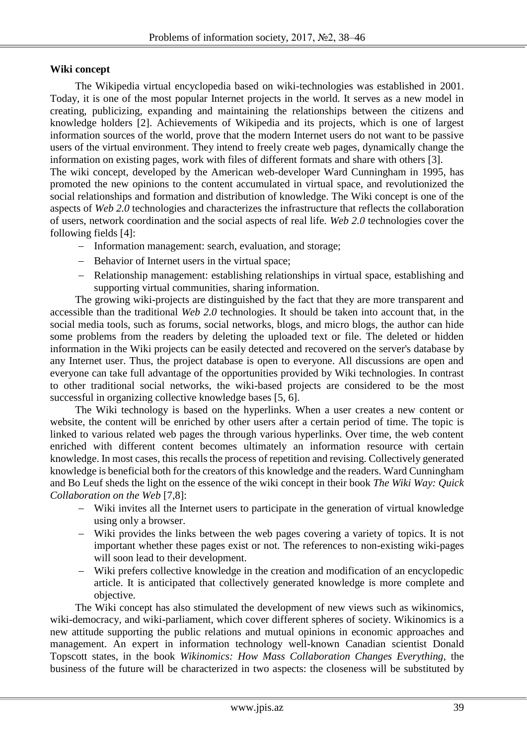# **Wiki concept**

following fields [4]:

The Wikipedia virtual encyclopedia based on wiki-technologies was established in 2001. Today, it is one of the most popular Internet projects in the world. It serves as a new model in creating, publicizing, expanding and maintaining the relationships between the citizens and knowledge holders [2]. Achievements of Wikipedia and its projects, which is one of largest information sources of the world, prove that the modern Internet users do not want to be passive users of the virtual environment. They intend to freely create web pages, dynamically change the information on existing pages, work with files of different formats and share with others [3]. The wiki concept, developed by the American web-developer Ward Cunningham in 1995, has promoted the new opinions to the content accumulated in virtual space, and revolutionized the social relationships and formation and distribution of knowledge. The Wiki concept is one of the aspects of *Web 2.0* technologies and characterizes the infrastructure that reflects the collaboration

of users, network coordination and the social aspects of real life. *Web 2.0* technologies cover the

- Information management: search, evaluation, and storage;
- Behavior of Internet users in the virtual space:
- Relationship management: establishing relationships in virtual space, establishing and supporting virtual communities, sharing information.

The growing wiki-projects are distinguished by the fact that they are more transparent and accessible than the traditional *Web 2.0* technologies. It should be taken into account that, in the social media tools, such as forums, social networks, blogs, and micro blogs, the author can hide some problems from the readers by deleting the uploaded text or file. The deleted or hidden information in the Wiki projects can be easily detected and recovered on the server's database by any Internet user. Thus, the project database is open to everyone. All discussions are open and everyone can take full advantage of the opportunities provided by Wiki technologies. In contrast to other traditional social networks, the wiki-based projects are considered to be the most successful in organizing collective knowledge bases [5, 6].

The Wiki technology is based on the hyperlinks. When a user creates a new content or website, the content will be enriched by other users after a certain period of time. The topic is linked to various related web pages the through various hyperlinks. Over time, the web content enriched with different content becomes ultimately an information resource with certain knowledge. In most cases, this recalls the process of repetition and revising. Collectively generated knowledge is beneficial both for the creators of this knowledge and the readers. Ward Cunningham and Bo Leuf sheds the light on the essence of the wiki concept in their book *The Wiki Way: Quick Collaboration on the Web* [7,8]:

- Wiki invites all the Internet users to participate in the generation of virtual knowledge using only a browser.
- Wiki provides the links between the web pages covering a variety of topics. It is not important whether these pages exist or not. The references to non-existing wiki-pages will soon lead to their development.
- Wiki prefers collective knowledge in the creation and modification of an encyclopedic article. It is anticipated that collectively generated knowledge is more complete and objective.

The Wiki concept has also stimulated the development of new views such as wikinomics, wiki-democracy, and wiki-parliament, which cover different spheres of society. Wikinomics is a new attitude supporting the public relations and mutual opinions in economic approaches and management. An expert in information technology well-known Canadian scientist Donald Topscott states, in the book *Wikinomics: How Mass Collaboration Changes Everything,* the business of the future will be characterized in two aspects: the closeness will be substituted by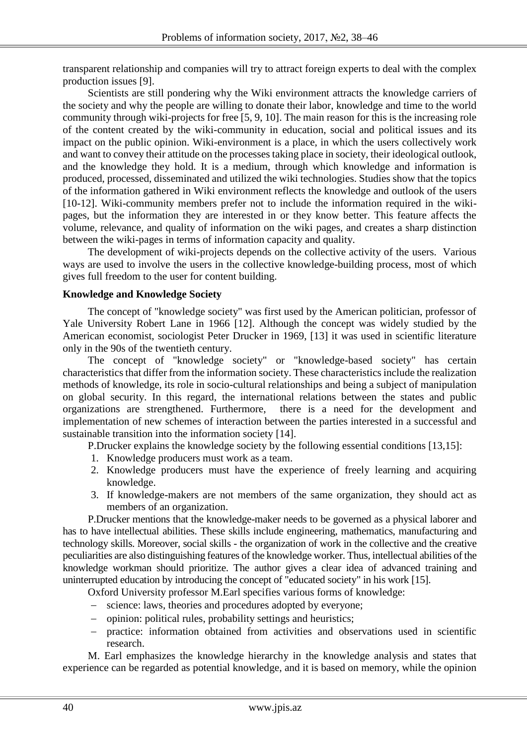transparent relationship and companies will try to attract foreign experts to deal with the complex production issues [9].

Scientists are still pondering why the Wiki environment attracts the knowledge carriers of the society and why the people are willing to donate their labor, knowledge and time to the world community through wiki-projects for free [5, 9, 10]. The main reason for this is the increasing role of the content created by the wiki-community in education, social and political issues and its impact on the public opinion. Wiki-environment is a place, in which the users collectively work and want to convey their attitude on the processes taking place in society, their ideological outlook, and the knowledge they hold. It is a medium, through which knowledge and information is produced, processed, disseminated and utilized the wiki technologies. Studies show that the topics of the information gathered in Wiki environment reflects the knowledge and outlook of the users [10-12]. Wiki-community members prefer not to include the information required in the wikipages, but the information they are interested in or they know better. This feature affects the volume, relevance, and quality of information on the wiki pages, and creates a sharp distinction between the wiki-pages in terms of information capacity and quality.

The development of wiki-projects depends on the collective activity of the users. Various ways are used to involve the users in the collective knowledge-building process, most of which gives full freedom to the user for content building.

## **Knowledge and Knowledge Society**

The concept of "knowledge society" was first used by the American politician, professor of Yale University Robert Lane in 1966 [12]. Although the concept was widely studied by the American economist, sociologist Peter Drucker in 1969, [13] it was used in scientific literature only in the 90s of the twentieth century.

The concept of "knowledge society" or "knowledge-based society" has certain characteristics that differ from the information society. These characteristics include the realization methods of knowledge, its role in socio-cultural relationships and being a subject of manipulation on global security. In this regard, the international relations between the states and public organizations are strengthened. Furthermore, there is a need for the development and implementation of new schemes of interaction between the parties interested in a successful and sustainable transition into the information society [14].

P.Drucker explains the knowledge society by the following essential conditions [13,15]:

- 1. Knowledge producers must work as a team.
- 2. Knowledge producers must have the experience of freely learning and acquiring knowledge.
- 3. If knowledge-makers are not members of the same organization, they should act as members of an organization.

P.Drucker mentions that the knowledge-maker needs to be governed as a physical laborer and has to have intellectual abilities. These skills include engineering, mathematics, manufacturing and technology skills. Moreover, social skills - the organization of work in the collective and the creative peculiarities are also distinguishing features of the knowledge worker. Thus, intellectual abilities of the knowledge workman should prioritize. The author gives a clear idea of advanced training and uninterrupted education by introducing the concept of "educated society" in his work [15].

Oxford University professor M.Earl specifies various forms of knowledge:

- science: laws, theories and procedures adopted by everyone;
- opinion: political rules, probability settings and heuristics;
- practice: information obtained from activities and observations used in scientific research.

M. Earl emphasizes the knowledge hierarchy in the knowledge analysis and states that experience can be regarded as potential knowledge, and it is based on memory, while the opinion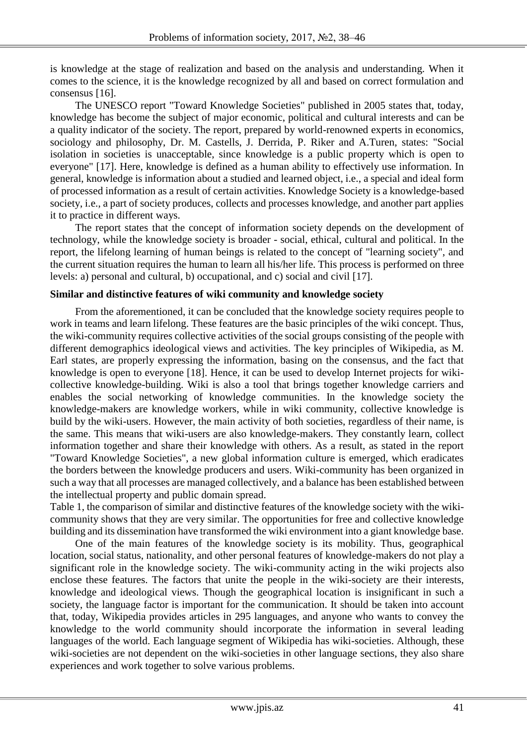is knowledge at the stage of realization and based on the analysis and understanding. When it comes to the science, it is the knowledge recognized by all and based on correct formulation and consensus [16].

The UNESCO report "Toward Knowledge Societies" published in 2005 states that, today, knowledge has become the subject of major economic, political and cultural interests and can be a quality indicator of the society. The report, prepared by world-renowned experts in economics, sociology and philosophy, Dr. M. Castells, J. Derrida, P. Riker and A.Turen, states: "Social isolation in societies is unacceptable, since knowledge is a public property which is open to everyone" [17]. Here, knowledge is defined as a human ability to effectively use information. In general, knowledge is information about a studied and learned object, i.e., a special and ideal form of processed information as a result of certain activities. Knowledge Society is a knowledge-based society, i.e., a part of society produces, collects and processes knowledge, and another part applies it to practice in different ways.

The report states that the concept of information society depends on the development of technology, while the knowledge society is broader - social, ethical, cultural and political. In the report, the lifelong learning of human beings is related to the concept of "learning society", and the current situation requires the human to learn all his/her life. This process is performed on three levels: a) personal and cultural, b) occupational, and c) social and civil [17].

## **Similar and distinctive features of wiki community and knowledge society**

From the aforementioned, it can be concluded that the knowledge society requires people to work in teams and learn lifelong. These features are the basic principles of the wiki concept. Thus, the wiki-community requires collective activities of the social groups consisting of the people with different demographics ideological views and activities. The key principles of Wikipedia, as M. Earl states, are properly expressing the information, basing on the consensus, and the fact that knowledge is open to everyone [18]. Hence, it can be used to develop Internet projects for wikicollective knowledge-building. Wiki is also a tool that brings together knowledge carriers and enables the social networking of knowledge communities. In the knowledge society the knowledge-makers are knowledge workers, while in wiki community, collective knowledge is build by the wiki-users. However, the main activity of both societies, regardless of their name, is the same. This means that wiki-users are also knowledge-makers. They constantly learn, collect information together and share their knowledge with others. As a result, as stated in the report "Toward Knowledge Societies", a new global information culture is emerged, which eradicates the borders between the knowledge producers and users. Wiki-community has been organized in such a way that all processes are managed collectively, and a balance has been established between the intellectual property and public domain spread.

Table 1, the comparison of similar and distinctive features of the knowledge society with the wikicommunity shows that they are very similar. The opportunities for free and collective knowledge building and its dissemination have transformed the wiki environment into a giant knowledge base.

One of the main features of the knowledge society is its mobility. Thus, geographical location, social status, nationality, and other personal features of knowledge-makers do not play a significant role in the knowledge society. The wiki-community acting in the wiki projects also enclose these features. The factors that unite the people in the wiki-society are their interests, knowledge and ideological views. Though the geographical location is insignificant in such a society, the language factor is important for the communication. It should be taken into account that, today, Wikipedia provides articles in 295 languages, and anyone who wants to convey the knowledge to the world community should incorporate the information in several leading languages of the world. Each language segment of Wikipedia has wiki-societies. Although, these wiki-societies are not dependent on the wiki-societies in other language sections, they also share experiences and work together to solve various problems.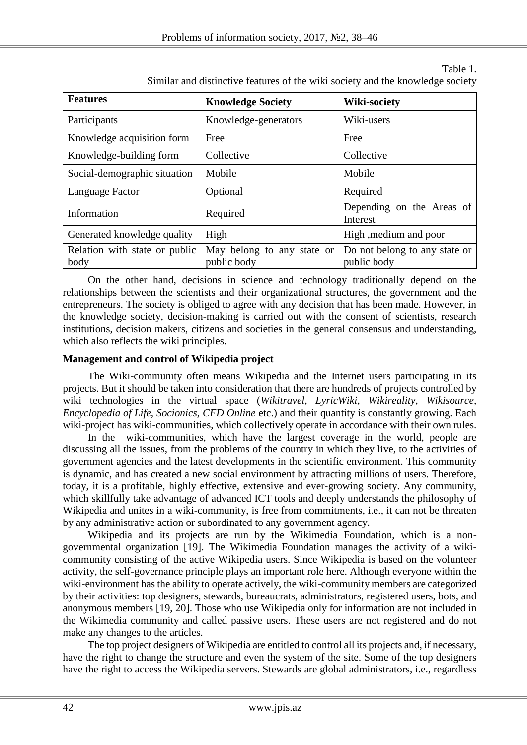## **Features Knowledge Society Wiki-society** Participants Knowledge-generators Wiki-users Knowledge acquisition form Free Free Knowledge-building form Collective Collective Collective Social-demographic situation Mobile Mobile Mobile Language Factor | Optional Required Information Required Depending on the Areas of Interest Generated knowledge quality | High  $\vert$  High ,medium and poor Relation with state or public body May belong to any state or public body Do not belong to any state or public body

Table 1. Similar and distinctive features of the wiki society and the knowledge society

On the other hand, decisions in science and technology traditionally depend on the relationships between the scientists and their organizational structures, the government and the entrepreneurs. The society is obliged to agree with any decision that has been made. However, in the knowledge society, decision-making is carried out with the consent of scientists, research institutions, decision makers, citizens and societies in the general consensus and understanding, which also reflects the wiki principles.

# **Management and control of Wikipedia project**

The Wiki-community often means Wikipedia and the Internet users participating in its projects. But it should be taken into consideration that there are hundreds of projects controlled by wiki technologies in the virtual space (*Wikitravel, LyricWiki, Wikireality, Wikisource, Encyclopedia of Life, Socionics, CFD Online* etc.) and their quantity is constantly growing. Each wiki-project has wiki-communities, which collectively operate in accordance with their own rules.

In the wiki-communities, which have the largest coverage in the world, people are discussing all the issues, from the problems of the country in which they live, to the activities of government agencies and the latest developments in the scientific environment. This community is dynamic, and has created a new social environment by attracting millions of users. Therefore, today, it is a profitable, highly effective, extensive and ever-growing society. Any community, which skillfully take advantage of advanced ICT tools and deeply understands the philosophy of Wikipedia and unites in a wiki-community, is free from commitments, i.e., it can not be threaten by any administrative action or subordinated to any government agency.

Wikipedia and its projects are run by the Wikimedia Foundation, which is a nongovernmental organization [19]. The Wikimedia Foundation manages the activity of a wikicommunity consisting of the active Wikipedia users. Since Wikipedia is based on the volunteer activity, the self-governance principle plays an important role here. Although everyone within the wiki-environment has the ability to operate actively, the wiki-community members are categorized by their activities: top designers, stewards, bureaucrats, administrators, registered users, bots, and anonymous members [19, 20]. Those who use Wikipedia only for information are not included in the Wikimedia community and called passive users. These users are not registered and do not make any changes to the articles.

The top project designers of Wikipedia are entitled to control all its projects and, if necessary, have the right to change the structure and even the system of the site. Some of the top designers have the right to access the Wikipedia servers. Stewards are global administrators, i.e., regardless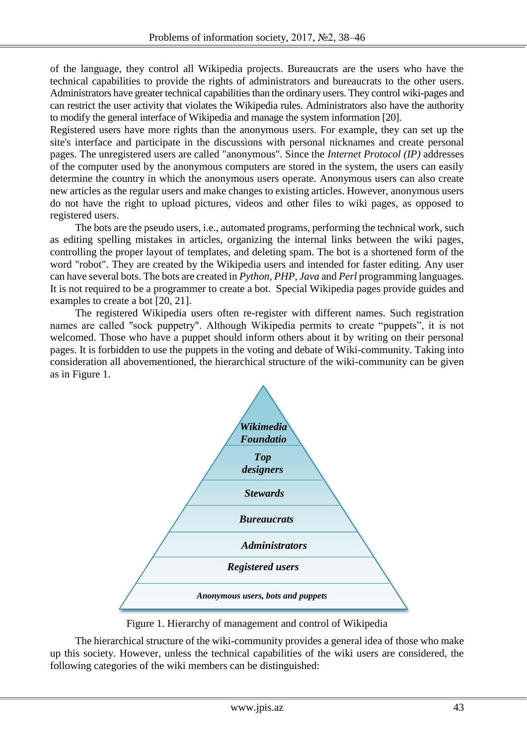of the language, they control all Wikipedia projects. Bureaucrats are the users who have the technical capabilities to provide the rights of administrators and bureaucrats to the other users. Administrators have greater technical capabilities than the ordinary users. They control wiki-pages and can restrict the user activity that violates the Wikipedia rules. Administrators also have the authority to modify the general interface of Wikipedia and manage the system information [20].

Registered users have more rights than the anonymous users. For example, they can set up the site's interface and participate in the discussions with personal nicknames and create personal pages. The unregistered users are called "anonymous". Since the *Internet Protocol (IP)* addresses of the computer used by the anonymous computers are stored in the system, the users can easily determine the country in which the anonymous users operate. Anonymous users can also create new articles as the regular users and make changes to existing articles. However, anonymous users do not have the right to upload pictures, videos and other files to wiki pages, as opposed to registered users.

The bots are the pseudo users, i.e., automated programs, performing the technical work, such as editing spelling mistakes in articles, organizing the internal links between the wiki pages, controlling the proper layout of templates, and deleting spam. The bot is a shortened form of the word "robot". They are created by the Wikipedia users and intended for faster editing. Any user can have several bots. The bots are created in *Python, PHP, Java* and *Perl* programming languages. It is not required to be a programmer to create a bot. Special Wikipedia pages provide guides and examples to create a bot [20, 21].

The registered Wikipedia users often re-register with different names. Such registration names are called "sock puppetry". Although Wikipedia permits to create "puppets", it is not welcomed. Those who have a puppet should inform others about it by writing on their personal pages. It is forbidden to use the puppets in the voting and debate of Wiki-community. Taking into consideration all abovementioned, the hierarchical structure of the wiki-community can be given as in Figure 1.



Figure 1. Hierarchy of management and control of Wikipedia

The hierarchical structure of the wiki-community provides a general idea of those who make up this society. However, unless the technical capabilities of the wiki users are considered, the following categories of the wiki members can be distinguished: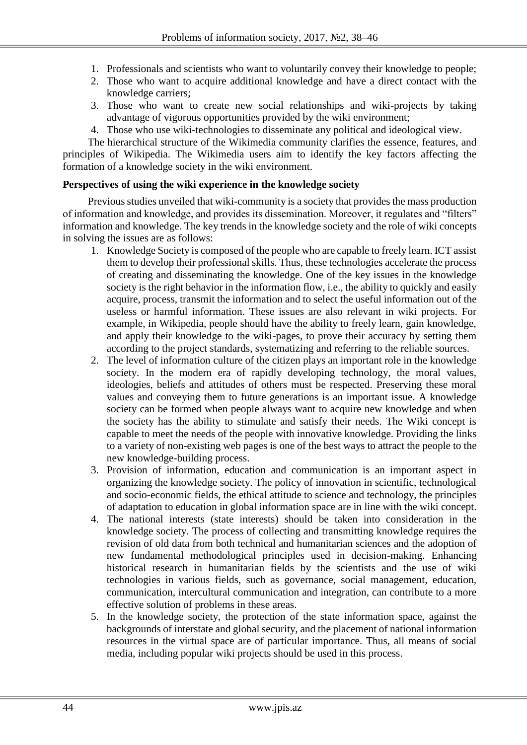- 1. Professionals and scientists who want to voluntarily convey their knowledge to people;
- 2. Those who want to acquire additional knowledge and have a direct contact with the knowledge carriers;
- 3. Those who want to create new social relationships and wiki-projects by taking advantage of vigorous opportunities provided by the wiki environment;
- 4. Those who use wiki-technologies to disseminate any political and ideological view.

The hierarchical structure of the Wikimedia community clarifies the essence, features, and principles of Wikipedia. The Wikimedia users aim to identify the key factors affecting the formation of a knowledge society in the wiki environment.

## **Perspectives of using the wiki experience in the knowledge society**

Previous studies unveiled that wiki-community is a society that provides the mass production of information and knowledge, and provides its dissemination. Moreover, it regulates and "filters" information and knowledge. The key trends in the knowledge society and the role of wiki concepts in solving the issues are as follows:

- 1. Knowledge Society is composed of the people who are capable to freely learn. ICT assist them to develop their professional skills. Thus, these technologies accelerate the process of creating and disseminating the knowledge. One of the key issues in the knowledge society is the right behavior in the information flow, i.e., the ability to quickly and easily acquire, process, transmit the information and to select the useful information out of the useless or harmful information. These issues are also relevant in wiki projects. For example, in Wikipedia, people should have the ability to freely learn, gain knowledge, and apply their knowledge to the wiki-pages, to prove their accuracy by setting them according to the project standards, systematizing and referring to the reliable sources.
- 2. The level of information culture of the citizen plays an important role in the knowledge society. In the modern era of rapidly developing technology, the moral values, ideologies, beliefs and attitudes of others must be respected. Preserving these moral values and conveying them to future generations is an important issue. A knowledge society can be formed when people always want to acquire new knowledge and when the society has the ability to stimulate and satisfy their needs. The Wiki concept is capable to meet the needs of the people with innovative knowledge. Providing the links to a variety of non-existing web pages is one of the best ways to attract the people to the new knowledge-building process.
- 3. Provision of information, education and communication is an important aspect in organizing the knowledge society. The policy of innovation in scientific, technological and socio-economic fields, the ethical attitude to science and technology, the principles of adaptation to education in global information space are in line with the wiki concept.
- 4. The national interests (state interests) should be taken into consideration in the knowledge society. The process of collecting and transmitting knowledge requires the revision of old data from both technical and humanitarian sciences and the adoption of new fundamental methodological principles used in decision-making. Enhancing historical research in humanitarian fields by the scientists and the use of wiki technologies in various fields, such as governance, social management, education, communication, intercultural communication and integration, can contribute to a more effective solution of problems in these areas.
- 5. In the knowledge society, the protection of the state information space, against the backgrounds of interstate and global security, and the placement of national information resources in the virtual space are of particular importance. Thus, all means of social media, including popular wiki projects should be used in this process.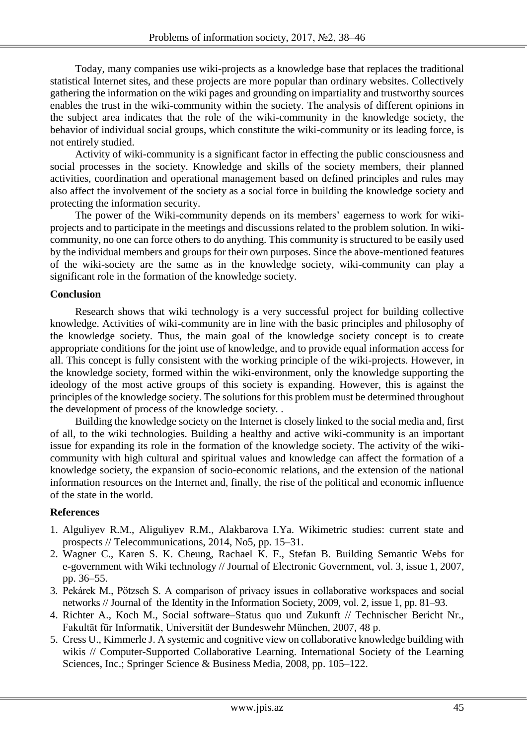Today, many companies use wiki-projects as a knowledge base that replaces the traditional statistical Internet sites, and these projects are more popular than ordinary websites. Collectively gathering the information on the wiki pages and grounding on impartiality and trustworthy sources enables the trust in the wiki-community within the society. The analysis of different opinions in the subject area indicates that the role of the wiki-community in the knowledge society, the behavior of individual social groups, which constitute the wiki-community or its leading force, is not entirely studied.

Activity of wiki-community is a significant factor in effecting the public consciousness and social processes in the society. Knowledge and skills of the society members, their planned activities, coordination and operational management based on defined principles and rules may also affect the involvement of the society as a social force in building the knowledge society and protecting the information security.

The power of the Wiki-community depends on its members' eagerness to work for wikiprojects and to participate in the meetings and discussions related to the problem solution. In wikicommunity, no one can force others to do anything. This community is structured to be easily used by the individual members and groups for their own purposes. Since the above-mentioned features of the wiki-society are the same as in the knowledge society, wiki-community can play a significant role in the formation of the knowledge society.

## **Conclusion**

Research shows that wiki technology is a very successful project for building collective knowledge. Activities of wiki-community are in line with the basic principles and philosophy of the knowledge society. Thus, the main goal of the knowledge society concept is to create appropriate conditions for the joint use of knowledge, and to provide equal information access for all. This concept is fully consistent with the working principle of the wiki-projects. However, in the knowledge society, formed within the wiki-environment, only the knowledge supporting the ideology of the most active groups of this society is expanding. However, this is against the principles of the knowledge society. The solutions for this problem must be determined throughout the development of process of the knowledge society. .

Building the knowledge society on the Internet is closely linked to the social media and, first of all, to the wiki technologies. Building a healthy and active wiki-community is an important issue for expanding its role in the formation of the knowledge society. The activity of the wikicommunity with high cultural and spiritual values and knowledge can affect the formation of a knowledge society, the expansion of socio-economic relations, and the extension of the national information resources on the Internet and, finally, the rise of the political and economic influence of the state in the world.

## **References**

- 1. Alguliyev R.M., Aliguliyev R.M., Alakbarova I.Ya. Wikimetric studies: current state and prospects // Telecommunications, 2014, No5, pp. 15–31.
- 2. Wagner C., Karen S. K. Cheung, Rachael K. F., Stefan B. Building Semantic Webs for e-government with Wiki technology // Journal of Electronic Government, vol. 3, issue 1, 2007, pp. 36–55.
- 3. Pekárek M., Pötzsch S. A comparison of privacy issues in collaborative workspaces and social networks // Journal of the [Identity in the Information Society,](http://link.springer.com/journal/12394) 2009, vol. 2[, issue 1,](http://link.springer.com/journal/12394/2/1/page/1) pp. 81–93.
- 4. Richter A., Koch M., Social software–Status quo und Zukunft // Technischer Bericht Nr., Fakultät für Informatik, Universität der Bundeswehr München, 2007, 48 p.
- 5. Cress U., Kimmerle J. A systemic and cognitive view on collaborative knowledge building with wikis // Computer-Supported Collaborative Learning. International Society of the Learning Sciences, Inc.; Springer Science & Business Media, 2008, pp. 105–122.